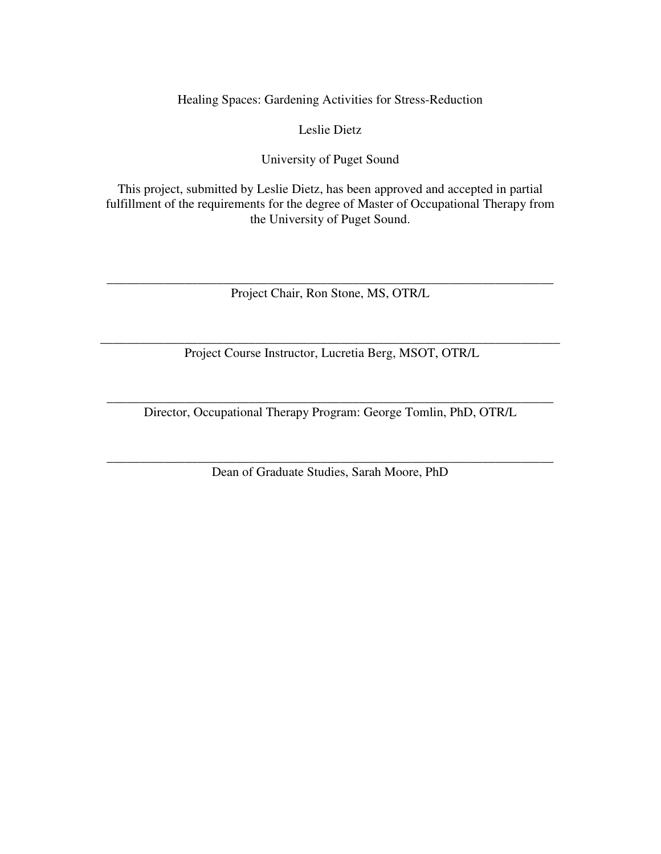Healing Spaces: Gardening Activities for Stress-Reduction

Leslie Dietz

University of Puget Sound

This project, submitted by Leslie Dietz, has been approved and accepted in partial fulfillment of the requirements for the degree of Master of Occupational Therapy from the University of Puget Sound.

\_\_\_\_\_\_\_\_\_\_\_\_\_\_\_\_\_\_\_\_\_\_\_\_\_\_\_\_\_\_\_\_\_\_\_\_\_\_\_\_\_\_\_\_\_\_\_\_\_\_\_\_\_\_\_\_\_\_\_\_\_\_\_\_\_\_\_\_\_ Project Chair, Ron Stone, MS, OTR/L

\_\_\_\_\_\_\_\_\_\_\_\_\_\_\_\_\_\_\_\_\_\_\_\_\_\_\_\_\_\_\_\_\_\_\_\_\_\_\_\_\_\_\_\_\_\_\_\_\_\_\_\_\_\_\_\_\_\_\_\_\_\_\_\_\_\_\_\_\_\_\_ Project Course Instructor, Lucretia Berg, MSOT, OTR/L

\_\_\_\_\_\_\_\_\_\_\_\_\_\_\_\_\_\_\_\_\_\_\_\_\_\_\_\_\_\_\_\_\_\_\_\_\_\_\_\_\_\_\_\_\_\_\_\_\_\_\_\_\_\_\_\_\_\_\_\_\_\_\_\_\_\_\_\_\_ Director, Occupational Therapy Program: George Tomlin, PhD, OTR/L

\_\_\_\_\_\_\_\_\_\_\_\_\_\_\_\_\_\_\_\_\_\_\_\_\_\_\_\_\_\_\_\_\_\_\_\_\_\_\_\_\_\_\_\_\_\_\_\_\_\_\_\_\_\_\_\_\_\_\_\_\_\_\_\_\_\_\_\_\_ Dean of Graduate Studies, Sarah Moore, PhD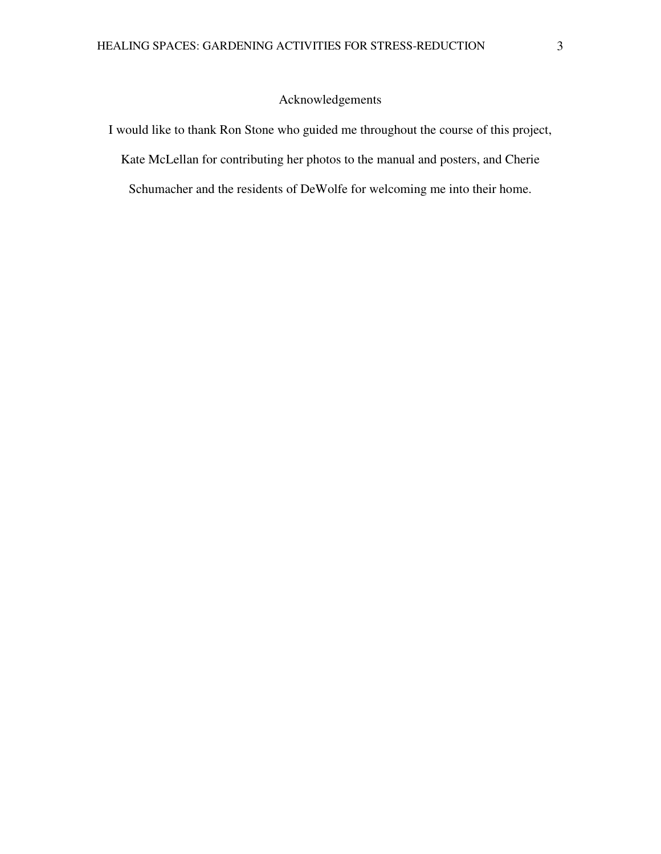# Acknowledgements

I would like to thank Ron Stone who guided me throughout the course of this project, Kate McLellan for contributing her photos to the manual and posters, and Cherie Schumacher and the residents of DeWolfe for welcoming me into their home.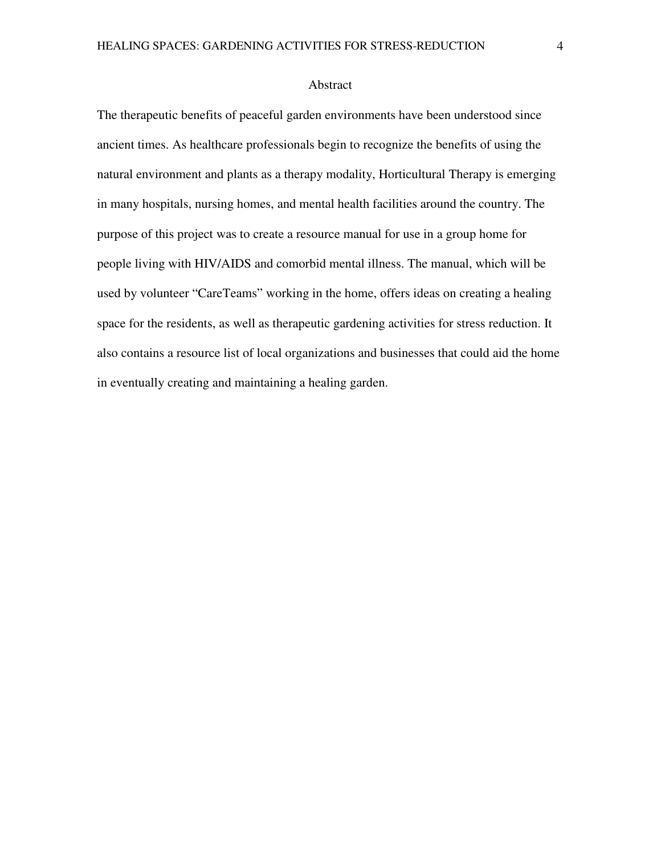### Abstract

The therapeutic benefits of peaceful garden environments have been understood since ancient times. As healthcare professionals begin to recognize the benefits of using the natural environment and plants as a therapy modality, Horticultural Therapy is emerging in many hospitals, nursing homes, and mental health facilities around the country. The purpose of this project was to create a resource manual for use in a group home for people living with HIV/AIDS and comorbid mental illness. The manual, which will be used by volunteer "CareTeams" working in the home, offers ideas on creating a healing space for the residents, as well as therapeutic gardening activities for stress reduction. It also contains a resource list of local organizations and businesses that could aid the home in eventually creating and maintaining a healing garden.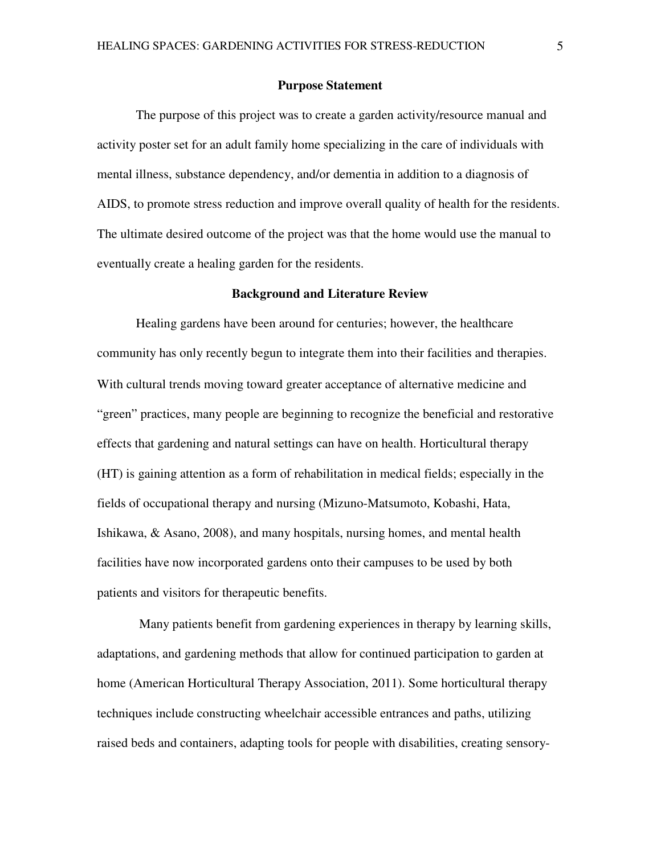## **Purpose Statement**

The purpose of this project was to create a garden activity/resource manual and activity poster set for an adult family home specializing in the care of individuals with mental illness, substance dependency, and/or dementia in addition to a diagnosis of AIDS, to promote stress reduction and improve overall quality of health for the residents. The ultimate desired outcome of the project was that the home would use the manual to eventually create a healing garden for the residents.

### **Background and Literature Review**

Healing gardens have been around for centuries; however, the healthcare community has only recently begun to integrate them into their facilities and therapies. With cultural trends moving toward greater acceptance of alternative medicine and "green" practices, many people are beginning to recognize the beneficial and restorative effects that gardening and natural settings can have on health. Horticultural therapy (HT) is gaining attention as a form of rehabilitation in medical fields; especially in the fields of occupational therapy and nursing (Mizuno-Matsumoto, Kobashi, Hata, Ishikawa, & Asano, 2008), and many hospitals, nursing homes, and mental health facilities have now incorporated gardens onto their campuses to be used by both patients and visitors for therapeutic benefits.

 Many patients benefit from gardening experiences in therapy by learning skills, adaptations, and gardening methods that allow for continued participation to garden at home (American Horticultural Therapy Association, 2011). Some horticultural therapy techniques include constructing wheelchair accessible entrances and paths, utilizing raised beds and containers, adapting tools for people with disabilities, creating sensory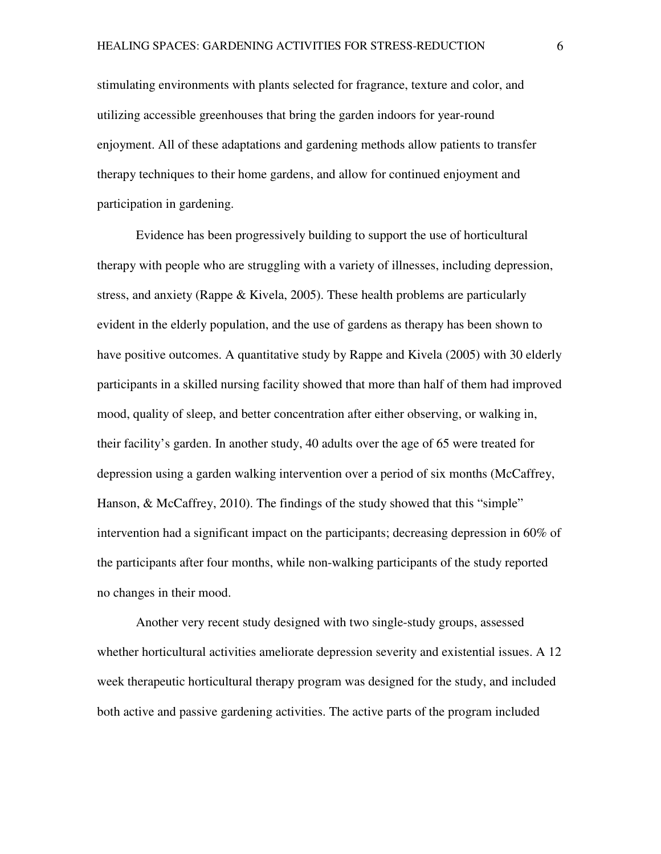stimulating environments with plants selected for fragrance, texture and color, and utilizing accessible greenhouses that bring the garden indoors for year-round enjoyment. All of these adaptations and gardening methods allow patients to transfer therapy techniques to their home gardens, and allow for continued enjoyment and participation in gardening.

 Evidence has been progressively building to support the use of horticultural therapy with people who are struggling with a variety of illnesses, including depression, stress, and anxiety (Rappe & Kivela, 2005). These health problems are particularly evident in the elderly population, and the use of gardens as therapy has been shown to have positive outcomes. A quantitative study by Rappe and Kivela (2005) with 30 elderly participants in a skilled nursing facility showed that more than half of them had improved mood, quality of sleep, and better concentration after either observing, or walking in, their facility's garden. In another study, 40 adults over the age of 65 were treated for depression using a garden walking intervention over a period of six months (McCaffrey, Hanson, & McCaffrey, 2010). The findings of the study showed that this "simple" intervention had a significant impact on the participants; decreasing depression in 60% of the participants after four months, while non-walking participants of the study reported no changes in their mood.

 Another very recent study designed with two single-study groups, assessed whether horticultural activities ameliorate depression severity and existential issues. A 12 week therapeutic horticultural therapy program was designed for the study, and included both active and passive gardening activities. The active parts of the program included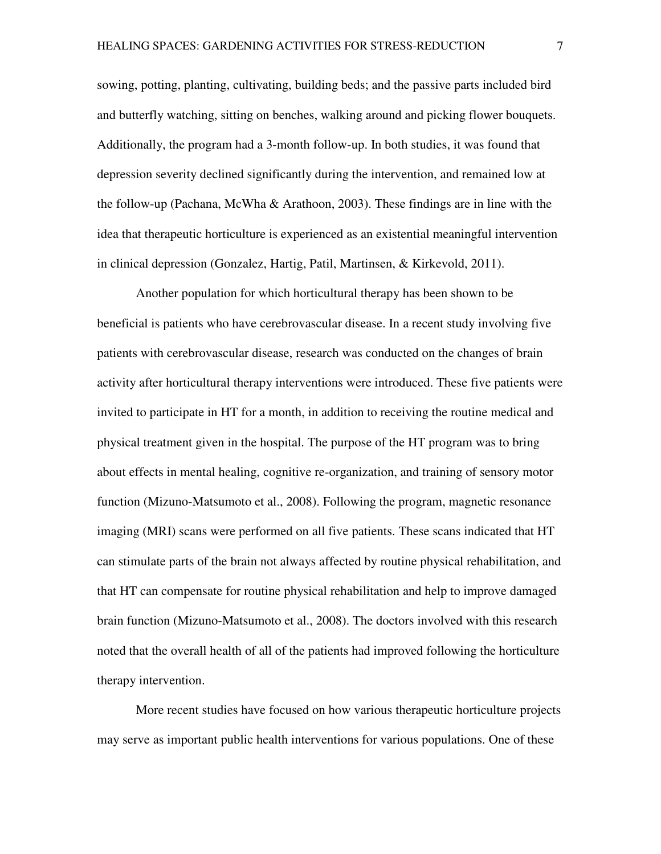sowing, potting, planting, cultivating, building beds; and the passive parts included bird and butterfly watching, sitting on benches, walking around and picking flower bouquets. Additionally, the program had a 3-month follow-up. In both studies, it was found that depression severity declined significantly during the intervention, and remained low at the follow-up (Pachana, McWha & Arathoon, 2003). These findings are in line with the idea that therapeutic horticulture is experienced as an existential meaningful intervention in clinical depression (Gonzalez, Hartig, Patil, Martinsen, & Kirkevold, 2011).

Another population for which horticultural therapy has been shown to be beneficial is patients who have cerebrovascular disease. In a recent study involving five patients with cerebrovascular disease, research was conducted on the changes of brain activity after horticultural therapy interventions were introduced. These five patients were invited to participate in HT for a month, in addition to receiving the routine medical and physical treatment given in the hospital. The purpose of the HT program was to bring about effects in mental healing, cognitive re-organization, and training of sensory motor function (Mizuno-Matsumoto et al., 2008). Following the program, magnetic resonance imaging (MRI) scans were performed on all five patients. These scans indicated that HT can stimulate parts of the brain not always affected by routine physical rehabilitation, and that HT can compensate for routine physical rehabilitation and help to improve damaged brain function (Mizuno-Matsumoto et al., 2008). The doctors involved with this research noted that the overall health of all of the patients had improved following the horticulture therapy intervention.

More recent studies have focused on how various therapeutic horticulture projects may serve as important public health interventions for various populations. One of these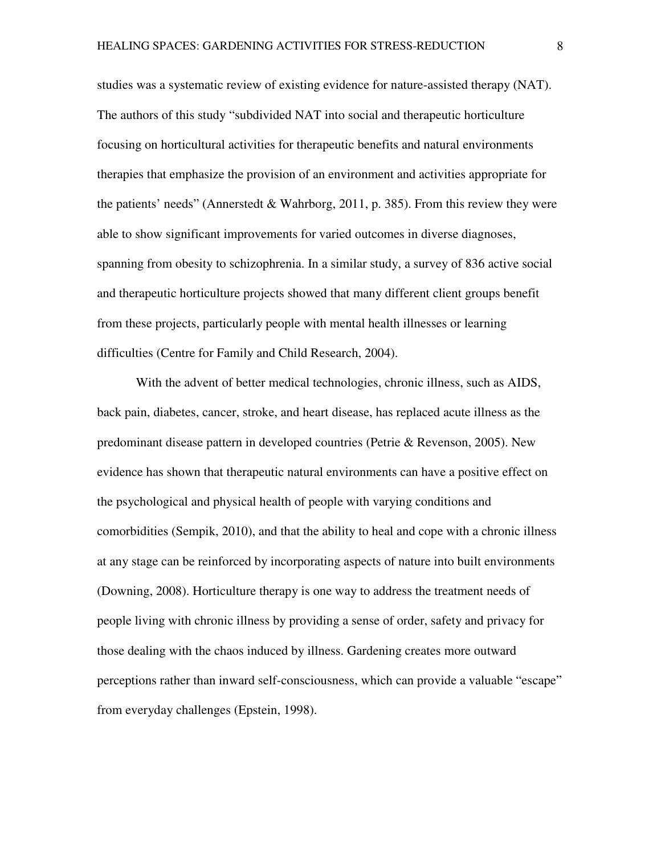studies was a systematic review of existing evidence for nature-assisted therapy (NAT). The authors of this study "subdivided NAT into social and therapeutic horticulture focusing on horticultural activities for therapeutic benefits and natural environments therapies that emphasize the provision of an environment and activities appropriate for the patients' needs" (Annerstedt & Wahrborg, 2011, p. 385). From this review they were able to show significant improvements for varied outcomes in diverse diagnoses, spanning from obesity to schizophrenia. In a similar study, a survey of 836 active social and therapeutic horticulture projects showed that many different client groups benefit from these projects, particularly people with mental health illnesses or learning difficulties (Centre for Family and Child Research, 2004).

With the advent of better medical technologies, chronic illness, such as AIDS, back pain, diabetes, cancer, stroke, and heart disease, has replaced acute illness as the predominant disease pattern in developed countries (Petrie & Revenson, 2005). New evidence has shown that therapeutic natural environments can have a positive effect on the psychological and physical health of people with varying conditions and comorbidities (Sempik, 2010), and that the ability to heal and cope with a chronic illness at any stage can be reinforced by incorporating aspects of nature into built environments (Downing, 2008). Horticulture therapy is one way to address the treatment needs of people living with chronic illness by providing a sense of order, safety and privacy for those dealing with the chaos induced by illness. Gardening creates more outward perceptions rather than inward self-consciousness, which can provide a valuable "escape" from everyday challenges (Epstein, 1998).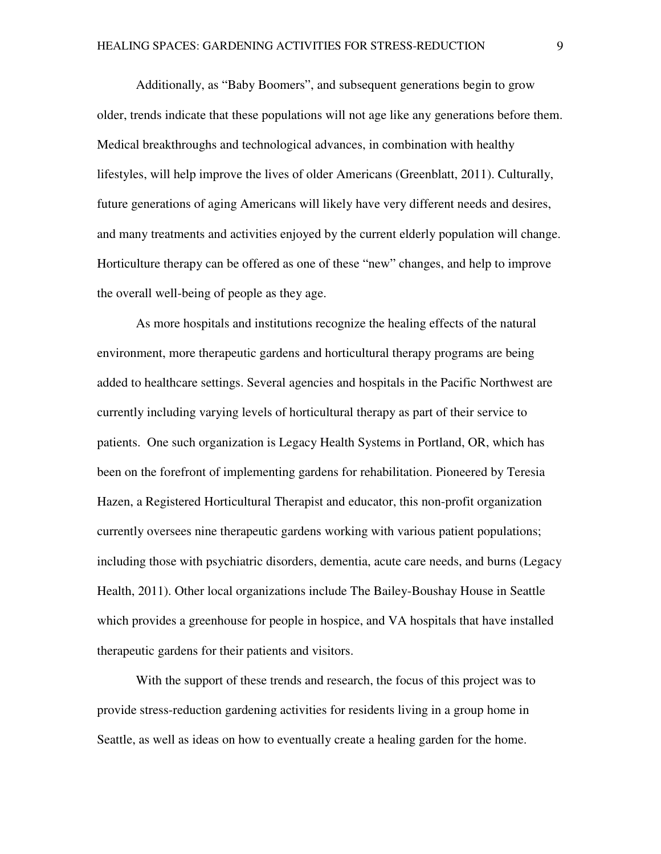Additionally, as "Baby Boomers", and subsequent generations begin to grow older, trends indicate that these populations will not age like any generations before them. Medical breakthroughs and technological advances, in combination with healthy lifestyles, will help improve the lives of older Americans (Greenblatt, 2011). Culturally, future generations of aging Americans will likely have very different needs and desires, and many treatments and activities enjoyed by the current elderly population will change. Horticulture therapy can be offered as one of these "new" changes, and help to improve the overall well-being of people as they age.

 As more hospitals and institutions recognize the healing effects of the natural environment, more therapeutic gardens and horticultural therapy programs are being added to healthcare settings. Several agencies and hospitals in the Pacific Northwest are currently including varying levels of horticultural therapy as part of their service to patients. One such organization is Legacy Health Systems in Portland, OR, which has been on the forefront of implementing gardens for rehabilitation. Pioneered by Teresia Hazen, a Registered Horticultural Therapist and educator, this non-profit organization currently oversees nine therapeutic gardens working with various patient populations; including those with psychiatric disorders, dementia, acute care needs, and burns (Legacy Health, 2011). Other local organizations include The Bailey-Boushay House in Seattle which provides a greenhouse for people in hospice, and VA hospitals that have installed therapeutic gardens for their patients and visitors.

 With the support of these trends and research, the focus of this project was to provide stress-reduction gardening activities for residents living in a group home in Seattle, as well as ideas on how to eventually create a healing garden for the home.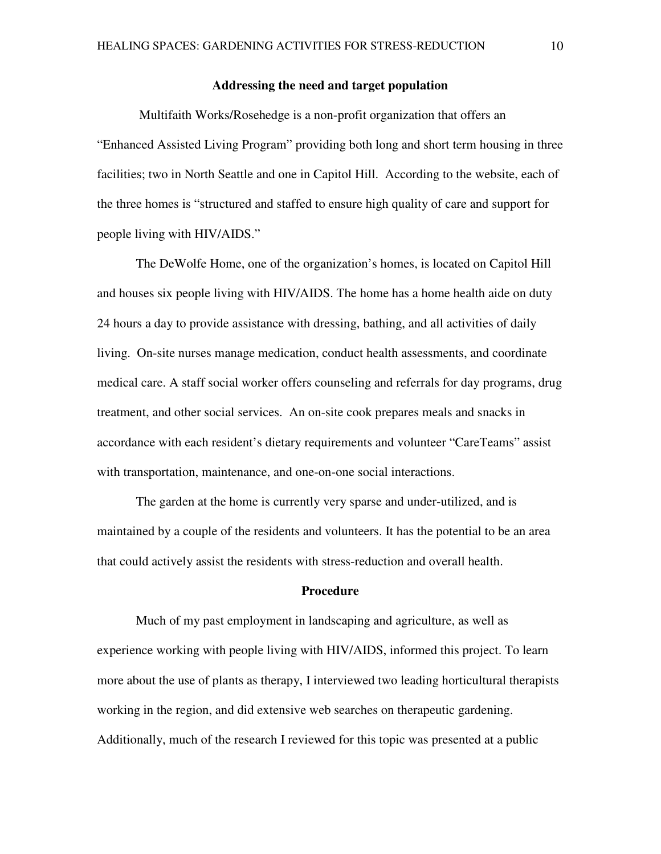## **Addressing the need and target population**

 Multifaith Works/Rosehedge is a non-profit organization that offers an "Enhanced Assisted Living Program" providing both long and short term housing in three facilities; two in North Seattle and one in Capitol Hill. According to the website, each of the three homes is "structured and staffed to ensure high quality of care and support for people living with HIV/AIDS."

The DeWolfe Home, one of the organization's homes, is located on Capitol Hill and houses six people living with HIV/AIDS. The home has a home health aide on duty 24 hours a day to provide assistance with dressing, bathing, and all activities of daily living. On-site nurses manage medication, conduct health assessments, and coordinate medical care. A staff social worker offers counseling and referrals for day programs, drug treatment, and other social services. An on-site cook prepares meals and snacks in accordance with each resident's dietary requirements and volunteer "CareTeams" assist with transportation, maintenance, and one-on-one social interactions.

The garden at the home is currently very sparse and under-utilized, and is maintained by a couple of the residents and volunteers. It has the potential to be an area that could actively assist the residents with stress-reduction and overall health.

## **Procedure**

Much of my past employment in landscaping and agriculture, as well as experience working with people living with HIV/AIDS, informed this project. To learn more about the use of plants as therapy, I interviewed two leading horticultural therapists working in the region, and did extensive web searches on therapeutic gardening. Additionally, much of the research I reviewed for this topic was presented at a public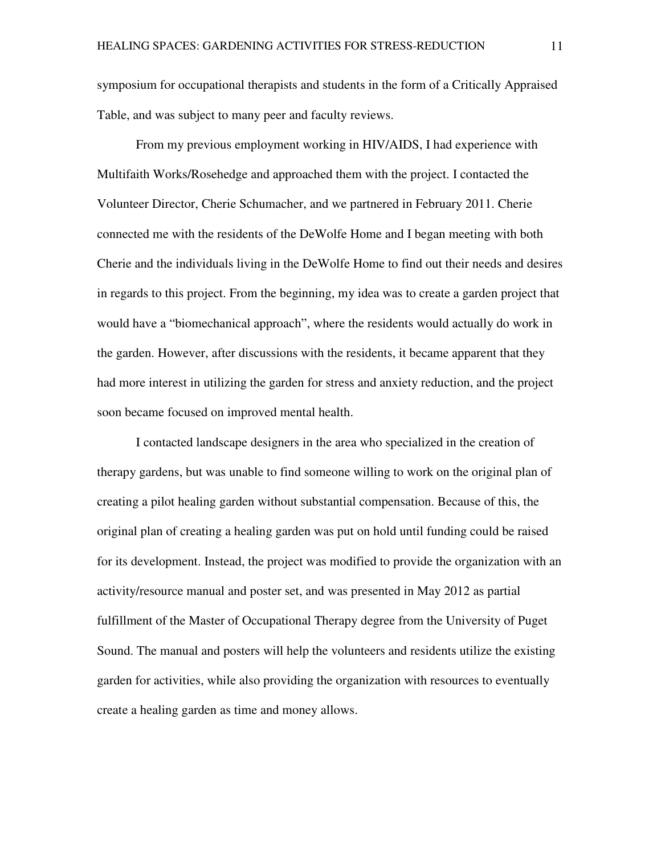symposium for occupational therapists and students in the form of a Critically Appraised Table, and was subject to many peer and faculty reviews.

From my previous employment working in HIV/AIDS, I had experience with Multifaith Works/Rosehedge and approached them with the project. I contacted the Volunteer Director, Cherie Schumacher, and we partnered in February 2011. Cherie connected me with the residents of the DeWolfe Home and I began meeting with both Cherie and the individuals living in the DeWolfe Home to find out their needs and desires in regards to this project. From the beginning, my idea was to create a garden project that would have a "biomechanical approach", where the residents would actually do work in the garden. However, after discussions with the residents, it became apparent that they had more interest in utilizing the garden for stress and anxiety reduction, and the project soon became focused on improved mental health.

I contacted landscape designers in the area who specialized in the creation of therapy gardens, but was unable to find someone willing to work on the original plan of creating a pilot healing garden without substantial compensation. Because of this, the original plan of creating a healing garden was put on hold until funding could be raised for its development. Instead, the project was modified to provide the organization with an activity/resource manual and poster set, and was presented in May 2012 as partial fulfillment of the Master of Occupational Therapy degree from the University of Puget Sound. The manual and posters will help the volunteers and residents utilize the existing garden for activities, while also providing the organization with resources to eventually create a healing garden as time and money allows.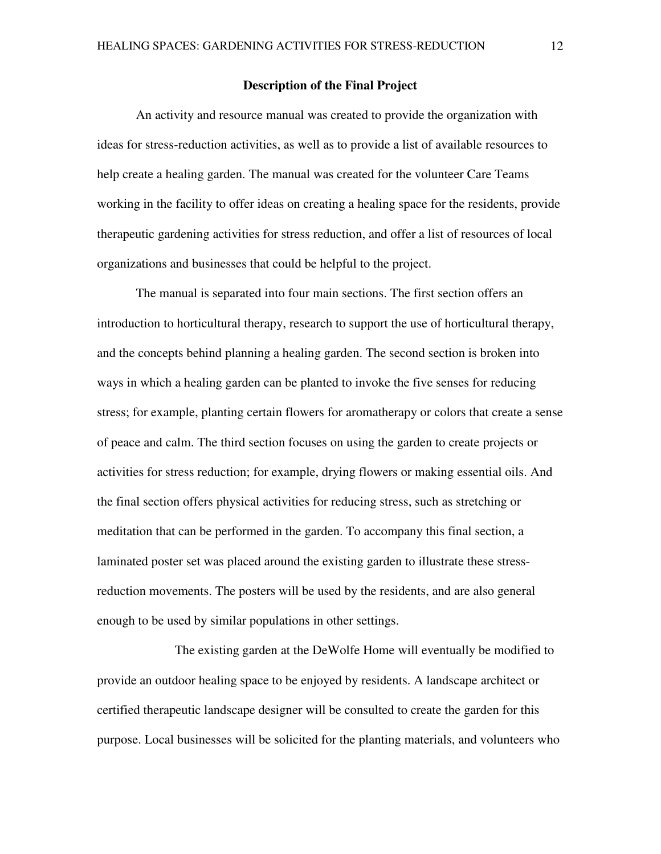## **Description of the Final Project**

An activity and resource manual was created to provide the organization with ideas for stress-reduction activities, as well as to provide a list of available resources to help create a healing garden. The manual was created for the volunteer Care Teams working in the facility to offer ideas on creating a healing space for the residents, provide therapeutic gardening activities for stress reduction, and offer a list of resources of local organizations and businesses that could be helpful to the project.

The manual is separated into four main sections. The first section offers an introduction to horticultural therapy, research to support the use of horticultural therapy, and the concepts behind planning a healing garden. The second section is broken into ways in which a healing garden can be planted to invoke the five senses for reducing stress; for example, planting certain flowers for aromatherapy or colors that create a sense of peace and calm. The third section focuses on using the garden to create projects or activities for stress reduction; for example, drying flowers or making essential oils. And the final section offers physical activities for reducing stress, such as stretching or meditation that can be performed in the garden. To accompany this final section, a laminated poster set was placed around the existing garden to illustrate these stressreduction movements. The posters will be used by the residents, and are also general enough to be used by similar populations in other settings.

 The existing garden at the DeWolfe Home will eventually be modified to provide an outdoor healing space to be enjoyed by residents. A landscape architect or certified therapeutic landscape designer will be consulted to create the garden for this purpose. Local businesses will be solicited for the planting materials, and volunteers who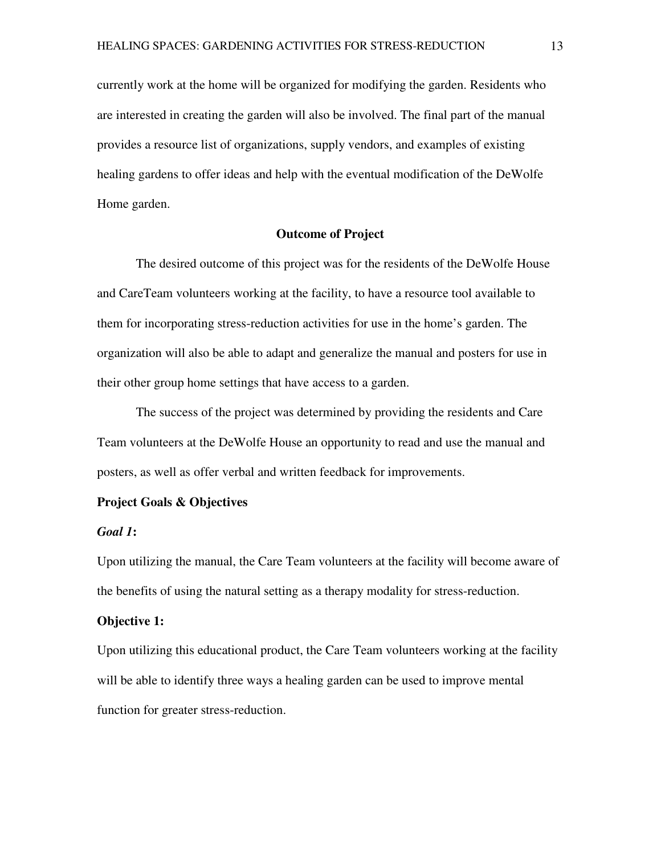currently work at the home will be organized for modifying the garden. Residents who are interested in creating the garden will also be involved. The final part of the manual provides a resource list of organizations, supply vendors, and examples of existing healing gardens to offer ideas and help with the eventual modification of the DeWolfe Home garden.

## **Outcome of Project**

The desired outcome of this project was for the residents of the DeWolfe House and CareTeam volunteers working at the facility, to have a resource tool available to them for incorporating stress-reduction activities for use in the home's garden. The organization will also be able to adapt and generalize the manual and posters for use in their other group home settings that have access to a garden.

The success of the project was determined by providing the residents and Care Team volunteers at the DeWolfe House an opportunity to read and use the manual and posters, as well as offer verbal and written feedback for improvements.

## **Project Goals & Objectives**

## *Goal 1***:**

Upon utilizing the manual, the Care Team volunteers at the facility will become aware of the benefits of using the natural setting as a therapy modality for stress-reduction.

### **Objective 1:**

Upon utilizing this educational product, the Care Team volunteers working at the facility will be able to identify three ways a healing garden can be used to improve mental function for greater stress-reduction.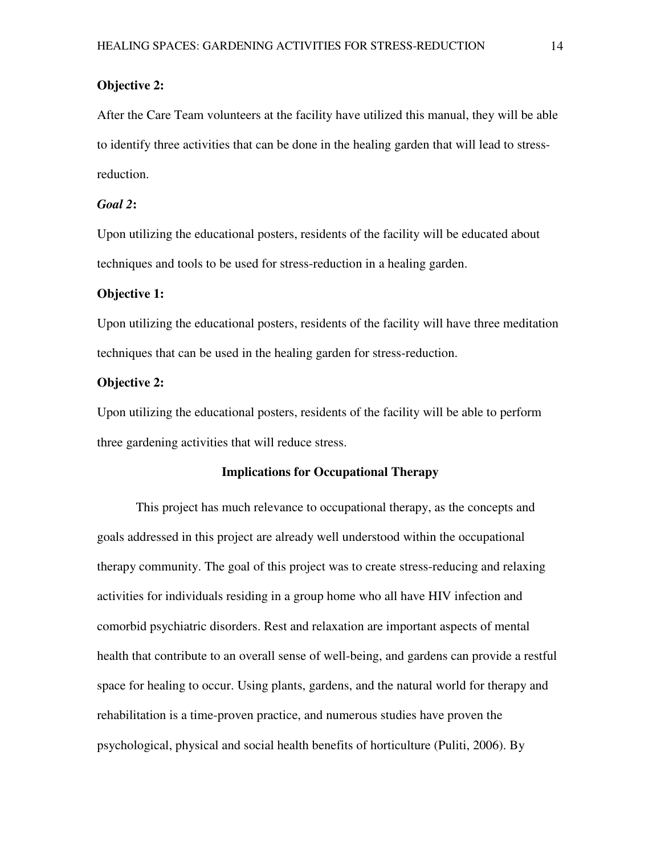## **Objective 2:**

After the Care Team volunteers at the facility have utilized this manual, they will be able to identify three activities that can be done in the healing garden that will lead to stressreduction.

# *Goal 2***:**

Upon utilizing the educational posters, residents of the facility will be educated about techniques and tools to be used for stress-reduction in a healing garden.

### **Objective 1:**

Upon utilizing the educational posters, residents of the facility will have three meditation techniques that can be used in the healing garden for stress-reduction.

### **Objective 2:**

Upon utilizing the educational posters, residents of the facility will be able to perform three gardening activities that will reduce stress.

## **Implications for Occupational Therapy**

This project has much relevance to occupational therapy, as the concepts and goals addressed in this project are already well understood within the occupational therapy community. The goal of this project was to create stress-reducing and relaxing activities for individuals residing in a group home who all have HIV infection and comorbid psychiatric disorders. Rest and relaxation are important aspects of mental health that contribute to an overall sense of well-being, and gardens can provide a restful space for healing to occur. Using plants, gardens, and the natural world for therapy and rehabilitation is a time-proven practice, and numerous studies have proven the psychological, physical and social health benefits of horticulture (Puliti, 2006). By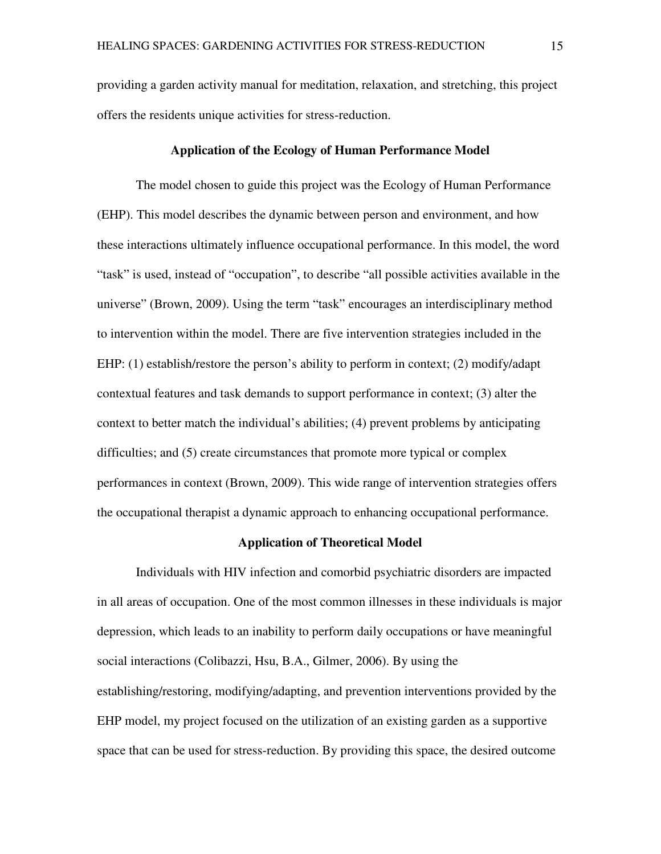providing a garden activity manual for meditation, relaxation, and stretching, this project offers the residents unique activities for stress-reduction.

# **Application of the Ecology of Human Performance Model**

The model chosen to guide this project was the Ecology of Human Performance (EHP). This model describes the dynamic between person and environment, and how these interactions ultimately influence occupational performance. In this model, the word "task" is used, instead of "occupation", to describe "all possible activities available in the universe" (Brown, 2009). Using the term "task" encourages an interdisciplinary method to intervention within the model. There are five intervention strategies included in the EHP: (1) establish/restore the person's ability to perform in context; (2) modify/adapt contextual features and task demands to support performance in context; (3) alter the context to better match the individual's abilities; (4) prevent problems by anticipating difficulties; and (5) create circumstances that promote more typical or complex performances in context (Brown, 2009). This wide range of intervention strategies offers the occupational therapist a dynamic approach to enhancing occupational performance.

## **Application of Theoretical Model**

Individuals with HIV infection and comorbid psychiatric disorders are impacted in all areas of occupation. One of the most common illnesses in these individuals is major depression, which leads to an inability to perform daily occupations or have meaningful social interactions (Colibazzi, Hsu, B.A., Gilmer, 2006). By using the establishing/restoring, modifying/adapting, and prevention interventions provided by the EHP model, my project focused on the utilization of an existing garden as a supportive space that can be used for stress-reduction. By providing this space, the desired outcome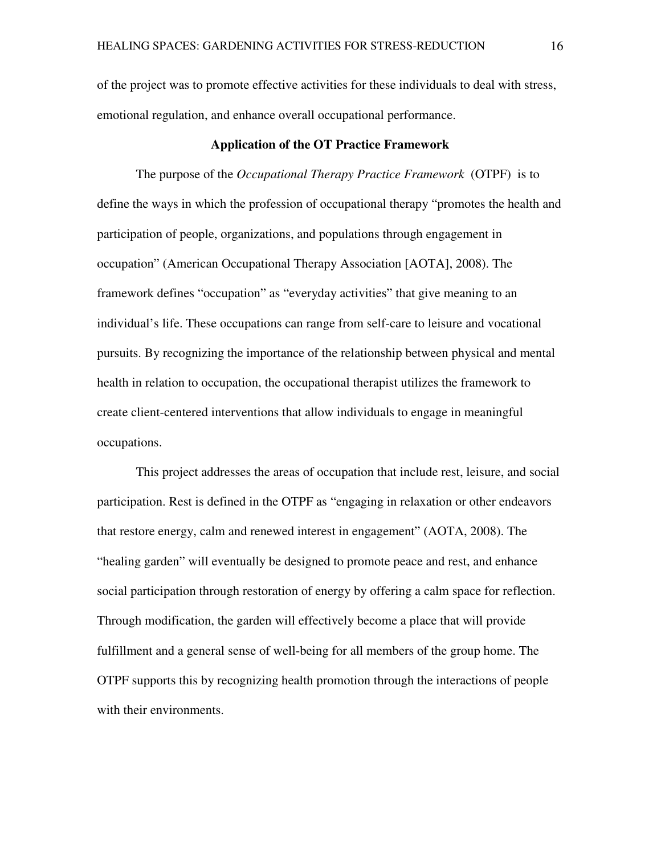of the project was to promote effective activities for these individuals to deal with stress, emotional regulation, and enhance overall occupational performance.

## **Application of the OT Practice Framework**

 The purpose of the *Occupational Therapy Practice Framework* (OTPF) is to define the ways in which the profession of occupational therapy "promotes the health and participation of people, organizations, and populations through engagement in occupation" (American Occupational Therapy Association [AOTA], 2008). The framework defines "occupation" as "everyday activities" that give meaning to an individual's life. These occupations can range from self-care to leisure and vocational pursuits. By recognizing the importance of the relationship between physical and mental health in relation to occupation, the occupational therapist utilizes the framework to create client-centered interventions that allow individuals to engage in meaningful occupations.

 This project addresses the areas of occupation that include rest, leisure, and social participation. Rest is defined in the OTPF as "engaging in relaxation or other endeavors that restore energy, calm and renewed interest in engagement" (AOTA, 2008). The "healing garden" will eventually be designed to promote peace and rest, and enhance social participation through restoration of energy by offering a calm space for reflection. Through modification, the garden will effectively become a place that will provide fulfillment and a general sense of well-being for all members of the group home. The OTPF supports this by recognizing health promotion through the interactions of people with their environments.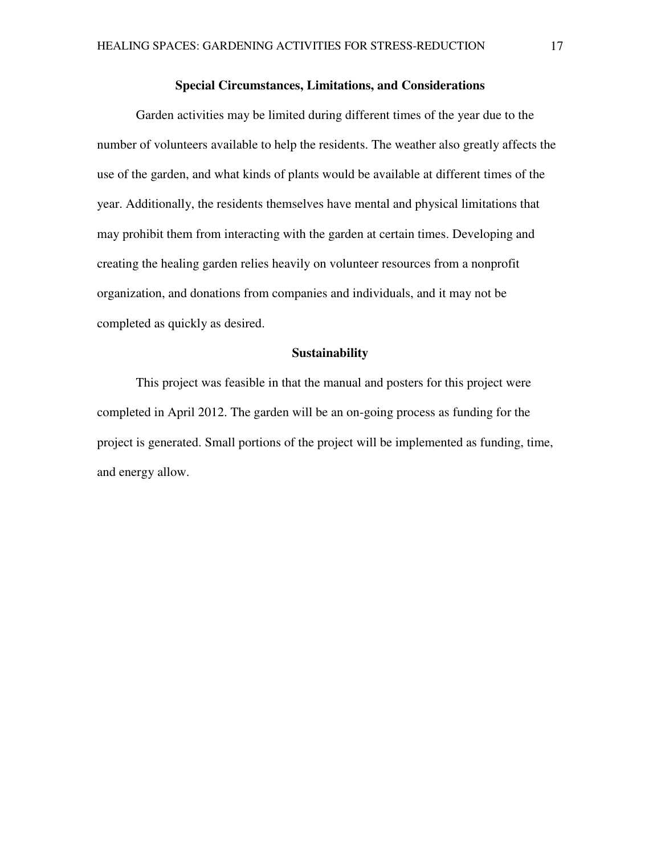# **Special Circumstances, Limitations, and Considerations**

 Garden activities may be limited during different times of the year due to the number of volunteers available to help the residents. The weather also greatly affects the use of the garden, and what kinds of plants would be available at different times of the year. Additionally, the residents themselves have mental and physical limitations that may prohibit them from interacting with the garden at certain times. Developing and creating the healing garden relies heavily on volunteer resources from a nonprofit organization, and donations from companies and individuals, and it may not be completed as quickly as desired.

## **Sustainability**

 This project was feasible in that the manual and posters for this project were completed in April 2012. The garden will be an on-going process as funding for the project is generated. Small portions of the project will be implemented as funding, time, and energy allow.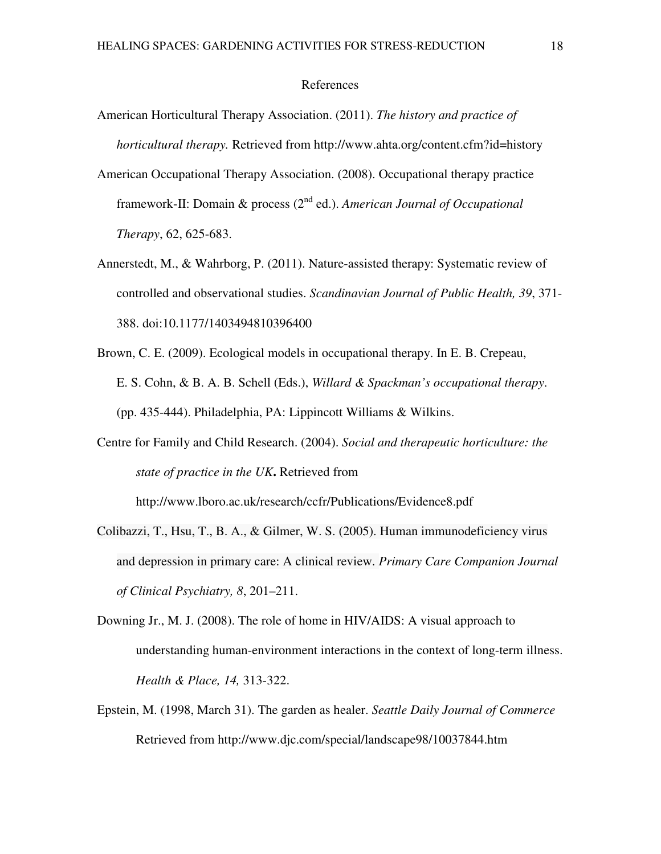#### References

- American Horticultural Therapy Association. (2011). *The history and practice of horticultural therapy.* Retrieved from http://www.ahta.org/content.cfm?id=history
- American Occupational Therapy Association. (2008). Occupational therapy practice framework-II: Domain & process (2nd ed.). *American Journal of Occupational Therapy*, 62, 625-683.
- Annerstedt, M., & Wahrborg, P. (2011). Nature-assisted therapy: Systematic review of controlled and observational studies. *Scandinavian Journal of Public Health, 39*, 371- 388. doi:10.1177/1403494810396400
- Brown, C. E. (2009). Ecological models in occupational therapy. In E. B. Crepeau, E. S. Cohn, & B. A. B. Schell (Eds.), *Willard & Spackman's occupational therapy*. (pp. 435-444). Philadelphia, PA: Lippincott Williams & Wilkins.
- Centre for Family and Child Research. (2004). *Social and therapeutic horticulture: the state of practice in the UK***.** Retrieved from

http://www.lboro.ac.uk/research/ccfr/Publications/Evidence8.pdf

- Colibazzi, T., Hsu, T., B. A., & Gilmer, W. S. (2005). Human immunodeficiency virus and depression in primary care: A clinical review. *Primary Care Companion Journal of Clinical Psychiatry, 8*, 201–211.
- Downing Jr., M. J. (2008). The role of home in HIV/AIDS: A visual approach to understanding human-environment interactions in the context of long-term illness. *Health & Place, 14,* 313-322.
- Epstein, M. (1998, March 31). The garden as healer. *Seattle Daily Journal of Commerce* Retrieved from http://www.djc.com/special/landscape98/10037844.htm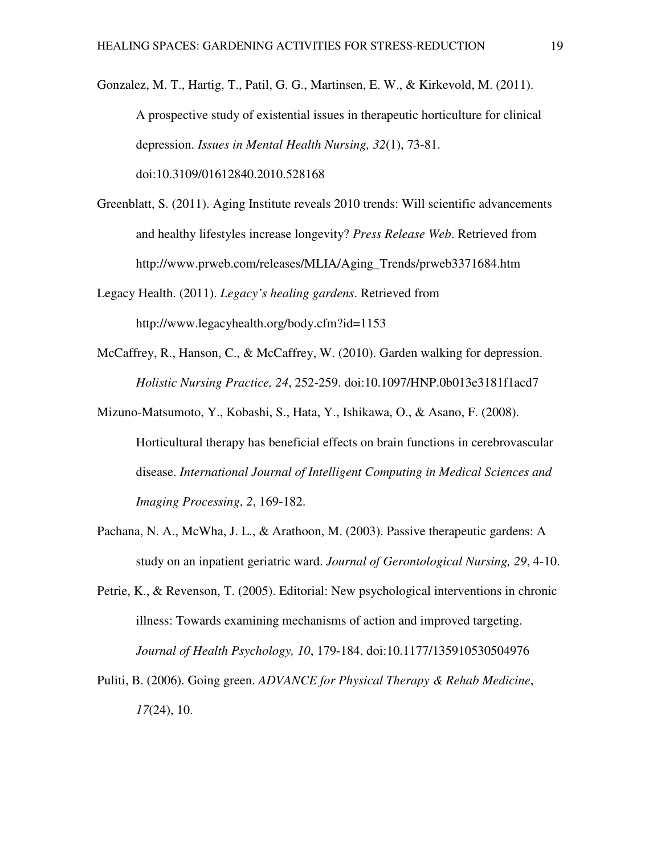Gonzalez, M. T., Hartig, T., Patil, G. G., Martinsen, E. W., & Kirkevold, M. (2011). A prospective study of existential issues in therapeutic horticulture for clinical depression. *Issues in Mental Health Nursing, 32*(1), 73-81. doi:10.3109/01612840.2010.528168

- Greenblatt, S. (2011). Aging Institute reveals 2010 trends: Will scientific advancements and healthy lifestyles increase longevity? *Press Release Web*. Retrieved from http://www.prweb.com/releases/MLIA/Aging\_Trends/prweb3371684.htm
- Legacy Health. (2011). *Legacy's healing gardens*. Retrieved from http://www.legacyhealth.org/body.cfm?id=1153
- McCaffrey, R., Hanson, C., & McCaffrey, W. (2010). Garden walking for depression. *Holistic Nursing Practice, 24*, 252-259. doi:10.1097/HNP.0b013e3181f1acd7

Mizuno-Matsumoto, Y., Kobashi, S., Hata, Y., Ishikawa, O., & Asano, F. (2008). Horticultural therapy has beneficial effects on brain functions in cerebrovascular disease. *International Journal of Intelligent Computing in Medical Sciences and Imaging Processing*, *2*, 169-182.

- Pachana, N. A., McWha, J. L., & Arathoon, M. (2003). Passive therapeutic gardens: A study on an inpatient geriatric ward. *Journal of Gerontological Nursing, 29*, 4-10.
- Petrie, K., & Revenson, T. (2005). Editorial: New psychological interventions in chronic illness: Towards examining mechanisms of action and improved targeting. *Journal of Health Psychology, 10*, 179-184. doi:10.1177/135910530504976
- Puliti, B. (2006). Going green. *ADVANCE for Physical Therapy & Rehab Medicine*, *17*(24), 10.